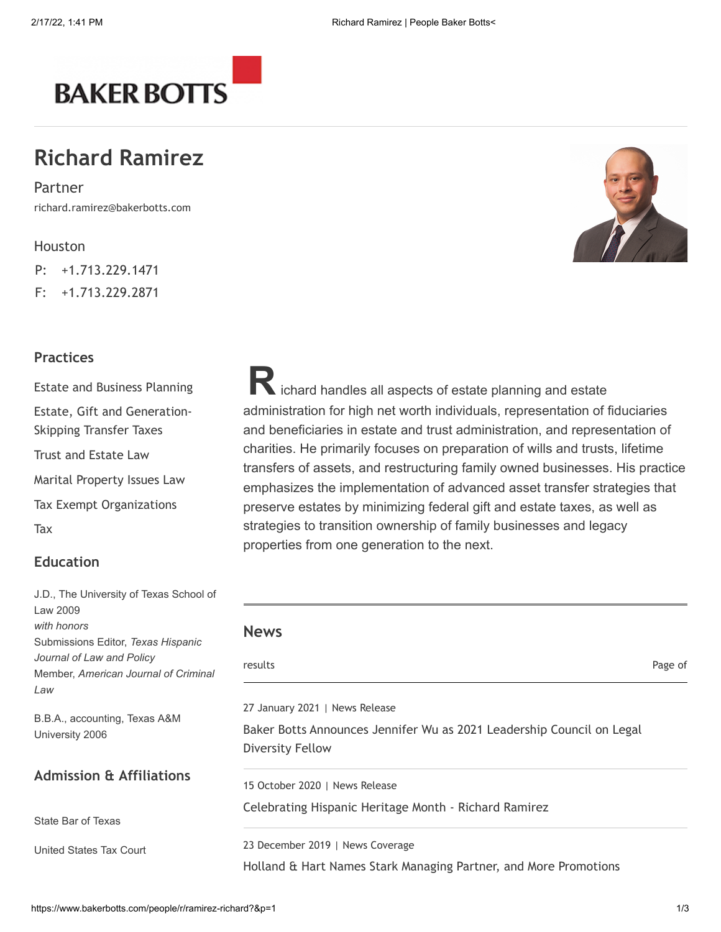

# **Richard Ramirez**

richard.ramirez@bakerbotts.com Partner

### [Houston](https://www.bakerbotts.com/geographies/houston)

P: +1.713.229.1471

F: +1.713.229.2871

### **Practices**

[Estate and Business Planning](https://www.bakerbotts.com/services/practice-areas/tax/estate--business-planning) [Estate, Gift and Generation-](https://www.bakerbotts.com/services/practice-areas/tax/estate-gift-and-generationskipping-transfer-taxes)Skipping Transfer Taxes [Trust and Estate Law](https://www.bakerbotts.com/services/practice-areas/tax/trust-and-estate-law) [Marital Property Issues Law](https://www.bakerbotts.com/services/practice-areas/tax/marital-property-issues-law) [Tax Exempt Organizations](https://www.bakerbotts.com/services/practice-areas/tax/tax-exempt-organizations) [Tax](https://www.bakerbotts.com/services/practice-areas/tax)

## **Education**

J.D., The University of Texas School of Law 2009 *with honors* Submissions Editor, *Texas Hispanic Journal of Law and Policy* Member, American Journal of Crimi *Law*

B.B.A., accounting, Texas A&M University 2006

### **Admission & Affiliations**

State Bar of Texas

United States Tax Court

**R**ichard handles all aspects of estate planning and estate administration for high net worth individuals, representation of fiduciaries and beneficiaries in estate and trust administration, and representation of charities. He primarily focuses on preparation of wills and trusts, lifetime transfers of assets, and restructuring family owned businesses. His practice emphasizes the implementation of advanced asset transfer strategies that preserve estates by minimizing federal gift and estate taxes, as well as strategies to transition ownership of family businesses and legacy properties from one generation to the next.

| <b>News</b>                                                                                      |         |
|--------------------------------------------------------------------------------------------------|---------|
| results                                                                                          | Page of |
| 27 January 2021   News Release                                                                   |         |
| Baker Botts Announces Jennifer Wu as 2021 Leadership Council on Legal<br><b>Diversity Fellow</b> |         |
| 15 October 2020   News Release                                                                   |         |
| Celebrating Hispanic Heritage Month - Richard Ramirez                                            |         |
| 23 December 2019   News Coverage                                                                 |         |
| Holland & Hart Names Stark Managing Partner, and More Promotions                                 |         |

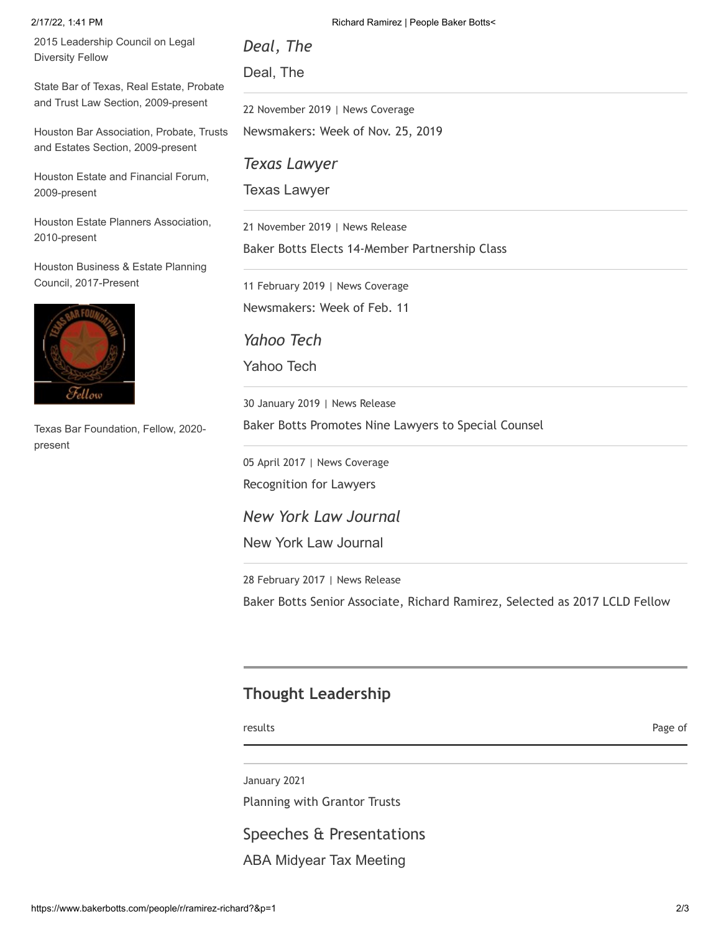2015 Leadership Council on Legal Diversity Fellow

State Bar of Texas, Real Estate, Probate and Trust Law Section, 2009-present

Houston Bar Association, Probate, Trusts and Estates Section, 2009-present

Houston Estate and Financial Forum, 2009-present

Houston Estate Planners Association, 2010-present

Houston Business & Estate Planning Council, 2017-Present



Texas Bar Foundation, Fellow, 2020 present

2/17/22, 1:41 PM **Richard Ramirez | People Baker Botts**<

*Deal, The* Deal, The

22 November 2019 | News Coverage [Newsmakers: Week of Nov. 25, 2019](https://www.law.com/texaslawyer/2019/11/25/newsmakers-week-of-nov-25-2019/)

*Texas Lawyer*

Texas Lawyer

21 November 2019 | News Release [Baker Botts Elects 14-Member Partnership Class](https://www.bakerbotts.com/news/2019/11/baker-botts-elects-14-member-partnership-class)

11 February 2019 | News Coverage [Newsmakers: Week of Feb. 11](https://www.yahoo.com/news/newsmakers-week-feb-11-090040383.html)

*Yahoo Tech* Yahoo Tech

30 January 2019 | News Release [Baker Botts Promotes Nine Lawyers to Special Counsel](https://www.bakerbotts.com/news/2019/01/baker-botts-promotes-nine-lawyers-to-special-counsel)

05 April 2017 | News Coverage [Recognition for Lawyers](http://www.newyorklawjournal.com/id=1202782982228/Recognition-for-Lawyers?slreturn=20170305083125&LikelyCookieIssue=true)

*New York Law Journal* New York Law Journal

28 February 2017 | News Release [Baker Botts Senior Associate, Richard Ramirez, Selected as 2017 LCLD Fellow](https://www.bakerbotts.com/news/2017/02/baker-botts-senior-associate-richard-ramire)

# **Thought Leadership**

results and the control of the control of the control of the control of the control of the control of the control of the control of the control of the control of the control of the control of the control of the control of

January 2021

[Planning with Grantor Trusts](https://www.bakerbotts.com/thought-leadership/publications/2021/january/planning-with-grantor-trusts)

Speeches & Presentations

ABA Midyear Tax Meeting